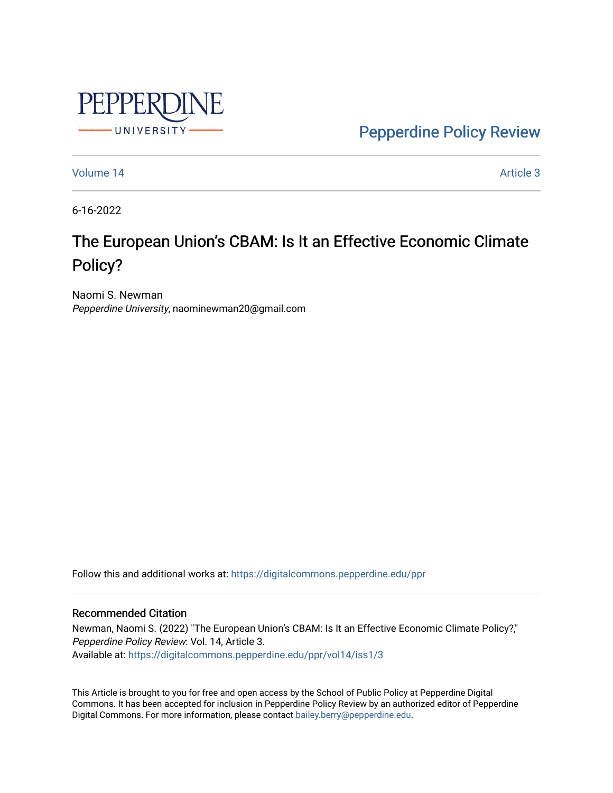

[Pepperdine Policy Review](https://digitalcommons.pepperdine.edu/ppr) 

[Volume 14](https://digitalcommons.pepperdine.edu/ppr/vol14) Article 3

6-16-2022

# The European Union's CBAM: Is It an Effective Economic Climate Policy?

Naomi S. Newman Pepperdine University, naominewman20@gmail.com

Follow this and additional works at: [https://digitalcommons.pepperdine.edu/ppr](https://digitalcommons.pepperdine.edu/ppr?utm_source=digitalcommons.pepperdine.edu%2Fppr%2Fvol14%2Fiss1%2F3&utm_medium=PDF&utm_campaign=PDFCoverPages)

#### Recommended Citation

Newman, Naomi S. (2022) "The European Union's CBAM: Is It an Effective Economic Climate Policy?," Pepperdine Policy Review: Vol. 14, Article 3. Available at: [https://digitalcommons.pepperdine.edu/ppr/vol14/iss1/3](https://digitalcommons.pepperdine.edu/ppr/vol14/iss1/3?utm_source=digitalcommons.pepperdine.edu%2Fppr%2Fvol14%2Fiss1%2F3&utm_medium=PDF&utm_campaign=PDFCoverPages)

This Article is brought to you for free and open access by the School of Public Policy at Pepperdine Digital Commons. It has been accepted for inclusion in Pepperdine Policy Review by an authorized editor of Pepperdine Digital Commons. For more information, please contact [bailey.berry@pepperdine.edu.](mailto:bailey.berry@pepperdine.edu)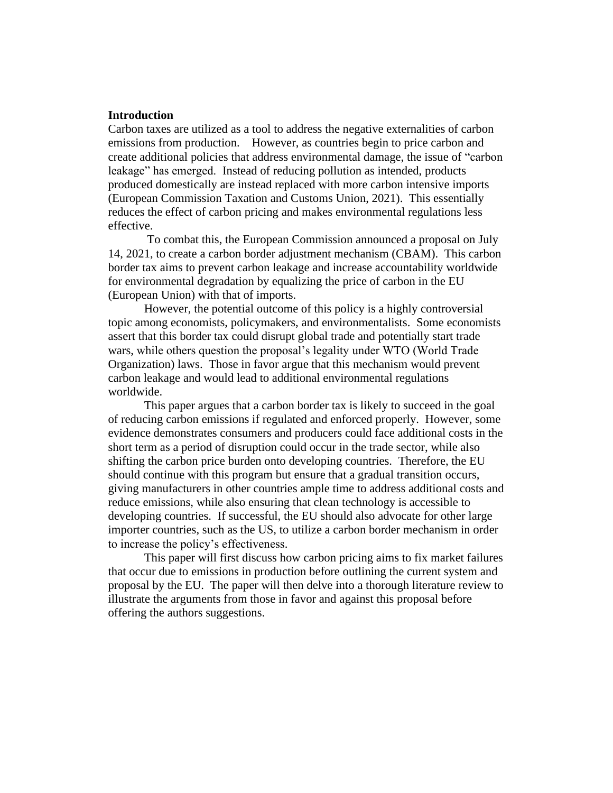## **Introduction**

Carbon taxes are utilized as a tool to address the negative externalities of carbon emissions from production. However, as countries begin to price carbon and create additional policies that address environmental damage, the issue of "carbon leakage" has emerged. Instead of reducing pollution as intended, products produced domestically are instead replaced with more carbon intensive imports (European Commission Taxation and Customs Union, 2021). This essentially reduces the effect of carbon pricing and makes environmental regulations less effective.

To combat this, the European Commission announced a proposal on July 14, 2021, to create a carbon border adjustment mechanism (CBAM). This carbon border tax aims to prevent carbon leakage and increase accountability worldwide for environmental degradation by equalizing the price of carbon in the EU (European Union) with that of imports.

 However, the potential outcome of this policy is a highly controversial topic among economists, policymakers, and environmentalists. Some economists assert that this border tax could disrupt global trade and potentially start trade wars, while others question the proposal's legality under WTO (World Trade Organization) laws. Those in favor argue that this mechanism would prevent carbon leakage and would lead to additional environmental regulations worldwide.

This paper argues that a carbon border tax is likely to succeed in the goal of reducing carbon emissions if regulated and enforced properly. However, some evidence demonstrates consumers and producers could face additional costs in the short term as a period of disruption could occur in the trade sector, while also shifting the carbon price burden onto developing countries. Therefore, the EU should continue with this program but ensure that a gradual transition occurs, giving manufacturers in other countries ample time to address additional costs and reduce emissions, while also ensuring that clean technology is accessible to developing countries. If successful, the EU should also advocate for other large importer countries, such as the US, to utilize a carbon border mechanism in order to increase the policy's effectiveness.

This paper will first discuss how carbon pricing aims to fix market failures that occur due to emissions in production before outlining the current system and proposal by the EU. The paper will then delve into a thorough literature review to illustrate the arguments from those in favor and against this proposal before offering the authors suggestions.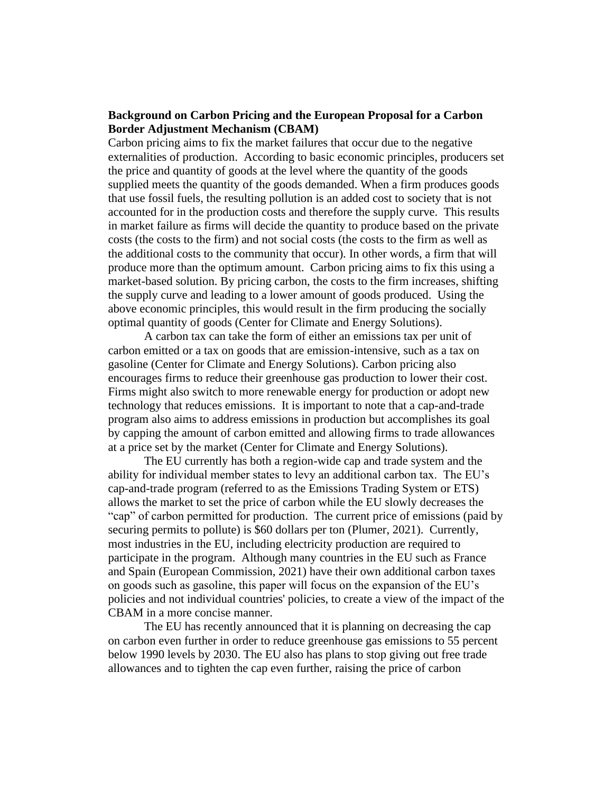## **Background on Carbon Pricing and the European Proposal for a Carbon Border Adjustment Mechanism (CBAM)**

Carbon pricing aims to fix the market failures that occur due to the negative externalities of production. According to basic economic principles, producers set the price and quantity of goods at the level where the quantity of the goods supplied meets the quantity of the goods demanded. When a firm produces goods that use fossil fuels, the resulting pollution is an added cost to society that is not accounted for in the production costs and therefore the supply curve. This results in market failure as firms will decide the quantity to produce based on the private costs (the costs to the firm) and not social costs (the costs to the firm as well as the additional costs to the community that occur). In other words, a firm that will produce more than the optimum amount. Carbon pricing aims to fix this using a market-based solution. By pricing carbon, the costs to the firm increases, shifting the supply curve and leading to a lower amount of goods produced. Using the above economic principles, this would result in the firm producing the socially optimal quantity of goods (Center for Climate and Energy Solutions).

A carbon tax can take the form of either an emissions tax per unit of carbon emitted or a tax on goods that are emission-intensive, such as a tax on gasoline (Center for Climate and Energy Solutions). Carbon pricing also encourages firms to reduce their greenhouse gas production to lower their cost. Firms might also switch to more renewable energy for production or adopt new technology that reduces emissions. It is important to note that a cap-and-trade program also aims to address emissions in production but accomplishes its goal by capping the amount of carbon emitted and allowing firms to trade allowances at a price set by the market (Center for Climate and Energy Solutions).

The EU currently has both a region-wide cap and trade system and the ability for individual member states to levy an additional carbon tax. The EU's cap-and-trade program (referred to as the Emissions Trading System or ETS) allows the market to set the price of carbon while the EU slowly decreases the "cap" of carbon permitted for production. The current price of emissions (paid by securing permits to pollute) is \$60 dollars per ton (Plumer, 2021). Currently, most industries in the EU, including electricity production are required to participate in the program. Although many countries in the EU such as France and Spain (European Commission, 2021) have their own additional carbon taxes on goods such as gasoline, this paper will focus on the expansion of the EU's policies and not individual countries' policies, to create a view of the impact of the CBAM in a more concise manner.

The EU has recently announced that it is planning on decreasing the cap on carbon even further in order to reduce greenhouse gas emissions to 55 percent below 1990 levels by 2030. The EU also has plans to stop giving out free trade allowances and to tighten the cap even further, raising the price of carbon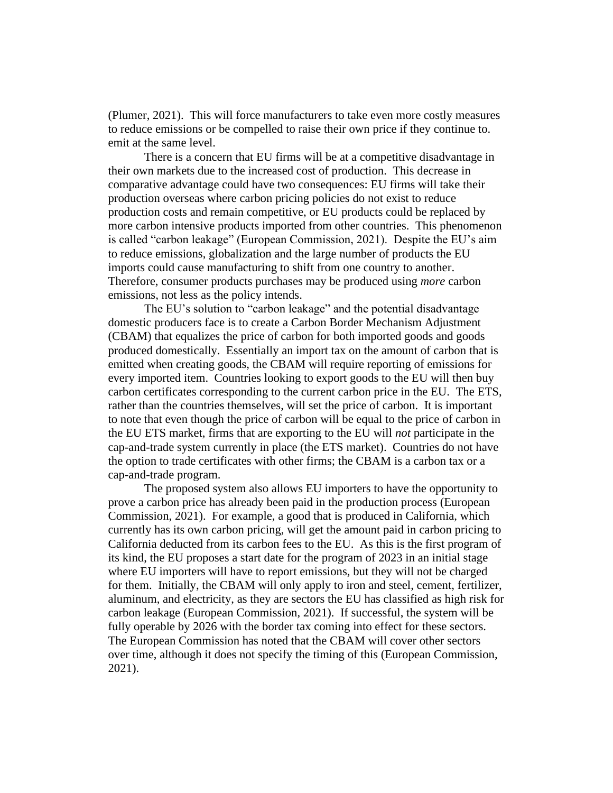(Plumer, 2021). This will force manufacturers to take even more costly measures to reduce emissions or be compelled to raise their own price if they continue to. emit at the same level.

There is a concern that EU firms will be at a competitive disadvantage in their own markets due to the increased cost of production. This decrease in comparative advantage could have two consequences: EU firms will take their production overseas where carbon pricing policies do not exist to reduce production costs and remain competitive, or EU products could be replaced by more carbon intensive products imported from other countries. This phenomenon is called "carbon leakage" (European Commission, 2021). Despite the EU's aim to reduce emissions, globalization and the large number of products the EU imports could cause manufacturing to shift from one country to another. Therefore, consumer products purchases may be produced using *more* carbon emissions, not less as the policy intends.

The EU's solution to "carbon leakage" and the potential disadvantage domestic producers face is to create a Carbon Border Mechanism Adjustment (CBAM) that equalizes the price of carbon for both imported goods and goods produced domestically. Essentially an import tax on the amount of carbon that is emitted when creating goods, the CBAM will require reporting of emissions for every imported item. Countries looking to export goods to the EU will then buy carbon certificates corresponding to the current carbon price in the EU. The ETS, rather than the countries themselves, will set the price of carbon. It is important to note that even though the price of carbon will be equal to the price of carbon in the EU ETS market, firms that are exporting to the EU will *not* participate in the cap-and-trade system currently in place (the ETS market). Countries do not have the option to trade certificates with other firms; the CBAM is a carbon tax or a cap-and-trade program.

The proposed system also allows EU importers to have the opportunity to prove a carbon price has already been paid in the production process (European Commission, 2021). For example, a good that is produced in California, which currently has its own carbon pricing, will get the amount paid in carbon pricing to California deducted from its carbon fees to the EU. As this is the first program of its kind, the EU proposes a start date for the program of 2023 in an initial stage where EU importers will have to report emissions, but they will not be charged for them. Initially, the CBAM will only apply to iron and steel, cement, fertilizer, aluminum, and electricity, as they are sectors the EU has classified as high risk for carbon leakage (European Commission, 2021). If successful, the system will be fully operable by 2026 with the border tax coming into effect for these sectors. The European Commission has noted that the CBAM will cover other sectors over time, although it does not specify the timing of this (European Commission, 2021).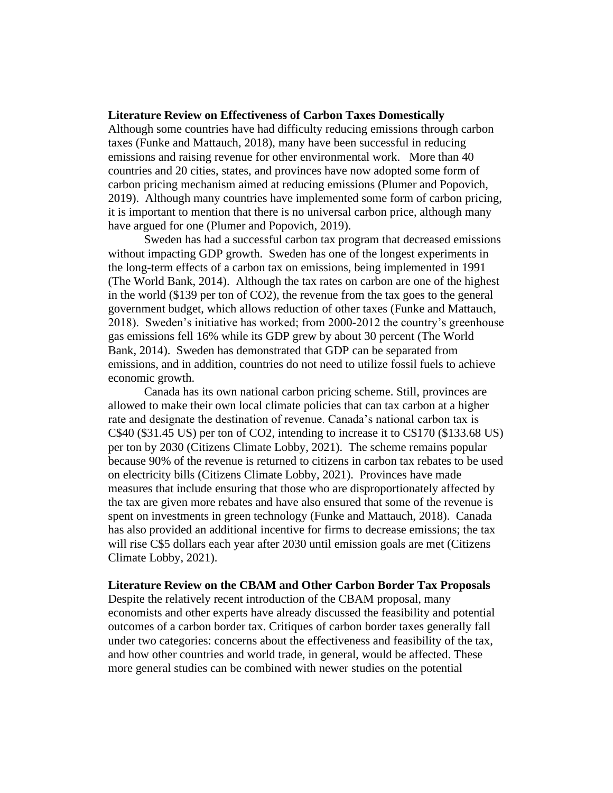#### **Literature Review on Effectiveness of Carbon Taxes Domestically**

Although some countries have had difficulty reducing emissions through carbon taxes (Funke and Mattauch, 2018), many have been successful in reducing emissions and raising revenue for other environmental work. More than 40 countries and 20 cities, states, and provinces have now adopted some form of carbon pricing mechanism aimed at reducing emissions (Plumer and Popovich, 2019). Although many countries have implemented some form of carbon pricing, it is important to mention that there is no universal carbon price, although many have argued for one (Plumer and Popovich, 2019).

Sweden has had a successful carbon tax program that decreased emissions without impacting GDP growth. Sweden has one of the longest experiments in the long-term effects of a carbon tax on emissions, being implemented in 1991 (The World Bank, 2014). Although the tax rates on carbon are one of the highest in the world (\$139 per ton of CO2), the revenue from the tax goes to the general government budget, which allows reduction of other taxes (Funke and Mattauch, 2018). Sweden's initiative has worked; from 2000-2012 the country's greenhouse gas emissions fell 16% while its GDP grew by about 30 percent (The World Bank, 2014). Sweden has demonstrated that GDP can be separated from emissions, and in addition, countries do not need to utilize fossil fuels to achieve economic growth.

Canada has its own national carbon pricing scheme. Still, provinces are allowed to make their own local climate policies that can tax carbon at a higher rate and designate the destination of revenue. Canada's national carbon tax is C\$40 (\$31.45 US) per ton of CO2, intending to increase it to C\$170 (\$133.68 US) per ton by 2030 (Citizens Climate Lobby, 2021). The scheme remains popular because 90% of the revenue is returned to citizens in carbon tax rebates to be used on electricity bills (Citizens Climate Lobby, 2021). Provinces have made measures that include ensuring that those who are disproportionately affected by the tax are given more rebates and have also ensured that some of the revenue is spent on investments in green technology (Funke and Mattauch, 2018). Canada has also provided an additional incentive for firms to decrease emissions; the tax will rise C\$5 dollars each year after 2030 until emission goals are met (Citizens Climate Lobby, 2021).

#### **Literature Review on the CBAM and Other Carbon Border Tax Proposals**

Despite the relatively recent introduction of the CBAM proposal, many economists and other experts have already discussed the feasibility and potential outcomes of a carbon border tax. Critiques of carbon border taxes generally fall under two categories: concerns about the effectiveness and feasibility of the tax, and how other countries and world trade, in general, would be affected. These more general studies can be combined with newer studies on the potential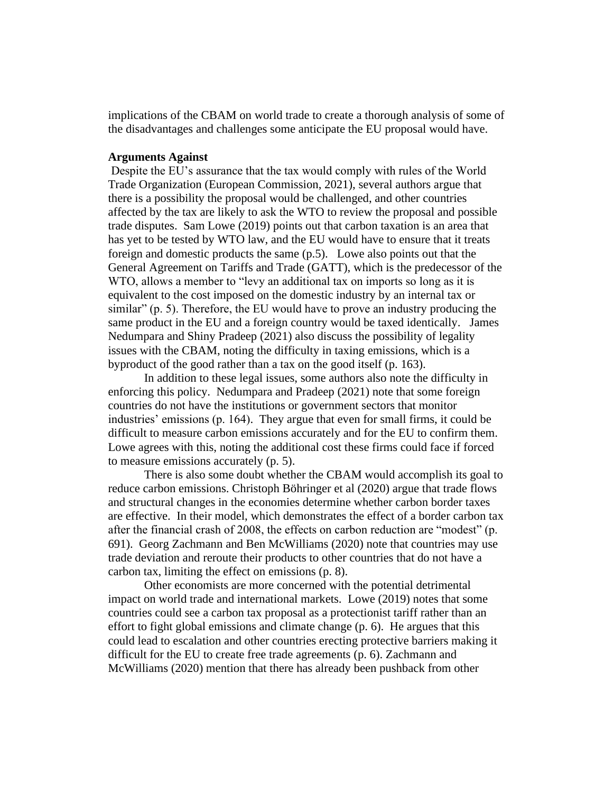implications of the CBAM on world trade to create a thorough analysis of some of the disadvantages and challenges some anticipate the EU proposal would have.

#### **Arguments Against**

Despite the EU's assurance that the tax would comply with rules of the World Trade Organization (European Commission, 2021), several authors argue that there is a possibility the proposal would be challenged, and other countries affected by the tax are likely to ask the WTO to review the proposal and possible trade disputes. Sam Lowe (2019) points out that carbon taxation is an area that has yet to be tested by WTO law, and the EU would have to ensure that it treats foreign and domestic products the same (p.5). Lowe also points out that the General Agreement on Tariffs and Trade (GATT), which is the predecessor of the WTO, allows a member to "levy an additional tax on imports so long as it is equivalent to the cost imposed on the domestic industry by an internal tax or similar" (p. 5). Therefore, the EU would have to prove an industry producing the same product in the EU and a foreign country would be taxed identically. James Nedumpara and Shiny Pradeep (2021) also discuss the possibility of legality issues with the CBAM, noting the difficulty in taxing emissions, which is a byproduct of the good rather than a tax on the good itself (p. 163).

In addition to these legal issues, some authors also note the difficulty in enforcing this policy. Nedumpara and Pradeep (2021) note that some foreign countries do not have the institutions or government sectors that monitor industries' emissions (p. 164). They argue that even for small firms, it could be difficult to measure carbon emissions accurately and for the EU to confirm them. Lowe agrees with this, noting the additional cost these firms could face if forced to measure emissions accurately (p. 5).

There is also some doubt whether the CBAM would accomplish its goal to reduce carbon emissions. Christoph Böhringer et al (2020) argue that trade flows and structural changes in the economies determine whether carbon border taxes are effective. In their model, which demonstrates the effect of a border carbon tax after the financial crash of 2008, the effects on carbon reduction are "modest" (p. 691). Georg Zachmann and Ben McWilliams (2020) note that countries may use trade deviation and reroute their products to other countries that do not have a carbon tax, limiting the effect on emissions (p. 8).

Other economists are more concerned with the potential detrimental impact on world trade and international markets. Lowe (2019) notes that some countries could see a carbon tax proposal as a protectionist tariff rather than an effort to fight global emissions and climate change (p. 6). He argues that this could lead to escalation and other countries erecting protective barriers making it difficult for the EU to create free trade agreements (p. 6). Zachmann and McWilliams (2020) mention that there has already been pushback from other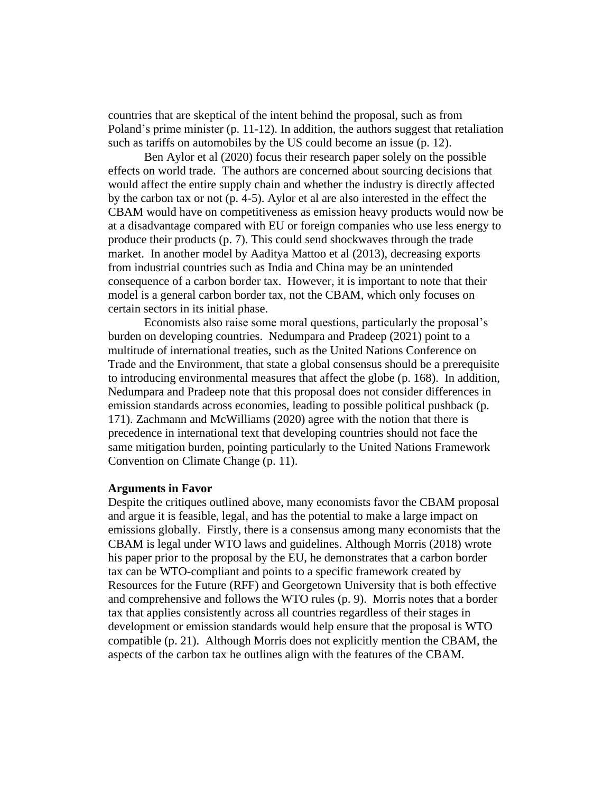countries that are skeptical of the intent behind the proposal, such as from Poland's prime minister (p. 11-12). In addition, the authors suggest that retaliation such as tariffs on automobiles by the US could become an issue (p. 12).

Ben Aylor et al (2020) focus their research paper solely on the possible effects on world trade. The authors are concerned about sourcing decisions that would affect the entire supply chain and whether the industry is directly affected by the carbon tax or not (p. 4-5). Aylor et al are also interested in the effect the CBAM would have on competitiveness as emission heavy products would now be at a disadvantage compared with EU or foreign companies who use less energy to produce their products (p. 7). This could send shockwaves through the trade market. In another model by Aaditya Mattoo et al (2013), decreasing exports from industrial countries such as India and China may be an unintended consequence of a carbon border tax. However, it is important to note that their model is a general carbon border tax, not the CBAM, which only focuses on certain sectors in its initial phase.

Economists also raise some moral questions, particularly the proposal's burden on developing countries. Nedumpara and Pradeep (2021) point to a multitude of international treaties, such as the United Nations Conference on Trade and the Environment, that state a global consensus should be a prerequisite to introducing environmental measures that affect the globe (p. 168). In addition, Nedumpara and Pradeep note that this proposal does not consider differences in emission standards across economies, leading to possible political pushback (p. 171). Zachmann and McWilliams (2020) agree with the notion that there is precedence in international text that developing countries should not face the same mitigation burden, pointing particularly to the United Nations Framework Convention on Climate Change (p. 11).

#### **Arguments in Favor**

Despite the critiques outlined above, many economists favor the CBAM proposal and argue it is feasible, legal, and has the potential to make a large impact on emissions globally. Firstly, there is a consensus among many economists that the CBAM is legal under WTO laws and guidelines. Although Morris (2018) wrote his paper prior to the proposal by the EU, he demonstrates that a carbon border tax can be WTO-compliant and points to a specific framework created by Resources for the Future (RFF) and Georgetown University that is both effective and comprehensive and follows the WTO rules (p. 9). Morris notes that a border tax that applies consistently across all countries regardless of their stages in development or emission standards would help ensure that the proposal is WTO compatible (p. 21). Although Morris does not explicitly mention the CBAM, the aspects of the carbon tax he outlines align with the features of the CBAM.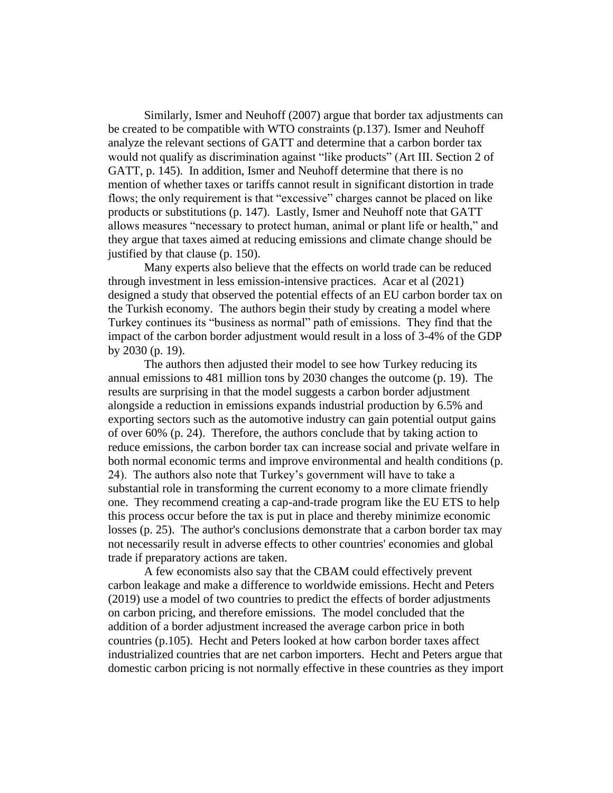Similarly, Ismer and Neuhoff (2007) argue that border tax adjustments can be created to be compatible with WTO constraints (p.137). Ismer and Neuhoff analyze the relevant sections of GATT and determine that a carbon border tax would not qualify as discrimination against "like products" (Art III. Section 2 of GATT, p. 145). In addition, Ismer and Neuhoff determine that there is no mention of whether taxes or tariffs cannot result in significant distortion in trade flows; the only requirement is that "excessive" charges cannot be placed on like products or substitutions (p. 147). Lastly, Ismer and Neuhoff note that GATT allows measures "necessary to protect human, animal or plant life or health," and they argue that taxes aimed at reducing emissions and climate change should be justified by that clause (p. 150).

Many experts also believe that the effects on world trade can be reduced through investment in less emission-intensive practices. Acar et al (2021) designed a study that observed the potential effects of an EU carbon border tax on the Turkish economy. The authors begin their study by creating a model where Turkey continues its "business as normal" path of emissions. They find that the impact of the carbon border adjustment would result in a loss of 3-4% of the GDP by 2030 (p. 19).

The authors then adjusted their model to see how Turkey reducing its annual emissions to 481 million tons by 2030 changes the outcome (p. 19). The results are surprising in that the model suggests a carbon border adjustment alongside a reduction in emissions expands industrial production by 6.5% and exporting sectors such as the automotive industry can gain potential output gains of over 60% (p. 24). Therefore, the authors conclude that by taking action to reduce emissions, the carbon border tax can increase social and private welfare in both normal economic terms and improve environmental and health conditions (p. 24). The authors also note that Turkey's government will have to take a substantial role in transforming the current economy to a more climate friendly one. They recommend creating a cap-and-trade program like the EU ETS to help this process occur before the tax is put in place and thereby minimize economic losses (p. 25). The author's conclusions demonstrate that a carbon border tax may not necessarily result in adverse effects to other countries' economies and global trade if preparatory actions are taken.

A few economists also say that the CBAM could effectively prevent carbon leakage and make a difference to worldwide emissions. Hecht and Peters (2019) use a model of two countries to predict the effects of border adjustments on carbon pricing, and therefore emissions. The model concluded that the addition of a border adjustment increased the average carbon price in both countries (p.105). Hecht and Peters looked at how carbon border taxes affect industrialized countries that are net carbon importers. Hecht and Peters argue that domestic carbon pricing is not normally effective in these countries as they import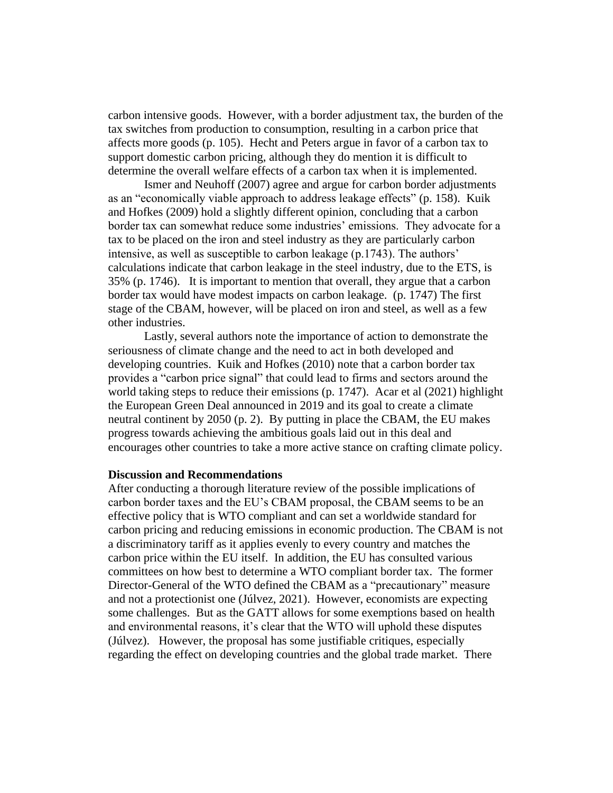carbon intensive goods. However, with a border adjustment tax, the burden of the tax switches from production to consumption, resulting in a carbon price that affects more goods (p. 105). Hecht and Peters argue in favor of a carbon tax to support domestic carbon pricing, although they do mention it is difficult to determine the overall welfare effects of a carbon tax when it is implemented.

Ismer and Neuhoff (2007) agree and argue for carbon border adjustments as an "economically viable approach to address leakage effects" (p. 158). Kuik and Hofkes (2009) hold a slightly different opinion, concluding that a carbon border tax can somewhat reduce some industries' emissions. They advocate for a tax to be placed on the iron and steel industry as they are particularly carbon intensive, as well as susceptible to carbon leakage (p.1743). The authors' calculations indicate that carbon leakage in the steel industry, due to the ETS, is 35% (p. 1746). It is important to mention that overall, they argue that a carbon border tax would have modest impacts on carbon leakage. (p. 1747) The first stage of the CBAM, however, will be placed on iron and steel, as well as a few other industries.

Lastly, several authors note the importance of action to demonstrate the seriousness of climate change and the need to act in both developed and developing countries. Kuik and Hofkes (2010) note that a carbon border tax provides a "carbon price signal" that could lead to firms and sectors around the world taking steps to reduce their emissions (p. 1747). Acar et al (2021) highlight the European Green Deal announced in 2019 and its goal to create a climate neutral continent by 2050 (p. 2). By putting in place the CBAM, the EU makes progress towards achieving the ambitious goals laid out in this deal and encourages other countries to take a more active stance on crafting climate policy.

#### **Discussion and Recommendations**

After conducting a thorough literature review of the possible implications of carbon border taxes and the EU's CBAM proposal, the CBAM seems to be an effective policy that is WTO compliant and can set a worldwide standard for carbon pricing and reducing emissions in economic production. The CBAM is not a discriminatory tariff as it applies evenly to every country and matches the carbon price within the EU itself. In addition, the EU has consulted various committees on how best to determine a WTO compliant border tax. The former Director-General of the WTO defined the CBAM as a "precautionary" measure and not a protectionist one (Júlvez, 2021). However, economists are expecting some challenges. But as the GATT allows for some exemptions based on health and environmental reasons, it's clear that the WTO will uphold these disputes (Júlvez). However, the proposal has some justifiable critiques, especially regarding the effect on developing countries and the global trade market. There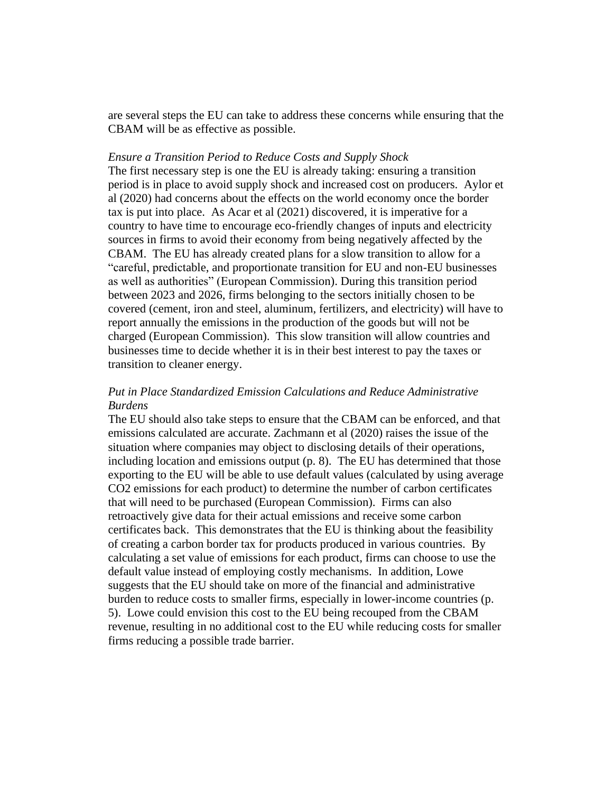are several steps the EU can take to address these concerns while ensuring that the CBAM will be as effective as possible.

#### *Ensure a Transition Period to Reduce Costs and Supply Shock*

The first necessary step is one the EU is already taking: ensuring a transition period is in place to avoid supply shock and increased cost on producers. Aylor et al (2020) had concerns about the effects on the world economy once the border tax is put into place. As Acar et al (2021) discovered, it is imperative for a country to have time to encourage eco-friendly changes of inputs and electricity sources in firms to avoid their economy from being negatively affected by the CBAM. The EU has already created plans for a slow transition to allow for a "careful, predictable, and proportionate transition for EU and non-EU businesses as well as authorities" (European Commission). During this transition period between 2023 and 2026, firms belonging to the sectors initially chosen to be covered (cement, iron and steel, aluminum, fertilizers, and electricity) will have to report annually the emissions in the production of the goods but will not be charged (European Commission). This slow transition will allow countries and businesses time to decide whether it is in their best interest to pay the taxes or transition to cleaner energy.

## *Put in Place Standardized Emission Calculations and Reduce Administrative Burdens*

The EU should also take steps to ensure that the CBAM can be enforced, and that emissions calculated are accurate. Zachmann et al (2020) raises the issue of the situation where companies may object to disclosing details of their operations, including location and emissions output (p. 8). The EU has determined that those exporting to the EU will be able to use default values (calculated by using average CO2 emissions for each product) to determine the number of carbon certificates that will need to be purchased (European Commission). Firms can also retroactively give data for their actual emissions and receive some carbon certificates back. This demonstrates that the EU is thinking about the feasibility of creating a carbon border tax for products produced in various countries. By calculating a set value of emissions for each product, firms can choose to use the default value instead of employing costly mechanisms. In addition, Lowe suggests that the EU should take on more of the financial and administrative burden to reduce costs to smaller firms, especially in lower-income countries (p. 5). Lowe could envision this cost to the EU being recouped from the CBAM revenue, resulting in no additional cost to the EU while reducing costs for smaller firms reducing a possible trade barrier.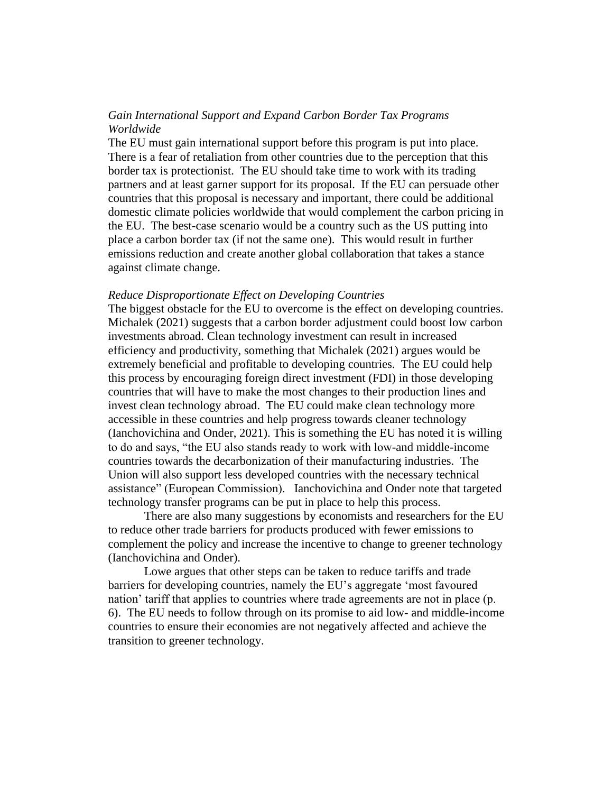## *Gain International Support and Expand Carbon Border Tax Programs Worldwide*

The EU must gain international support before this program is put into place. There is a fear of retaliation from other countries due to the perception that this border tax is protectionist. The EU should take time to work with its trading partners and at least garner support for its proposal. If the EU can persuade other countries that this proposal is necessary and important, there could be additional domestic climate policies worldwide that would complement the carbon pricing in the EU. The best-case scenario would be a country such as the US putting into place a carbon border tax (if not the same one). This would result in further emissions reduction and create another global collaboration that takes a stance against climate change.

#### *Reduce Disproportionate Effect on Developing Countries*

The biggest obstacle for the EU to overcome is the effect on developing countries. Michalek (2021) suggests that a carbon border adjustment could boost low carbon investments abroad. Clean technology investment can result in increased efficiency and productivity, something that Michalek (2021) argues would be extremely beneficial and profitable to developing countries. The EU could help this process by encouraging foreign direct investment (FDI) in those developing countries that will have to make the most changes to their production lines and invest clean technology abroad. The EU could make clean technology more accessible in these countries and help progress towards cleaner technology (Ianchovichina and Onder, 2021). This is something the EU has noted it is willing to do and says, "the EU also stands ready to work with low-and middle-income countries towards the decarbonization of their manufacturing industries. The Union will also support less developed countries with the necessary technical assistance" (European Commission). Ianchovichina and Onder note that targeted technology transfer programs can be put in place to help this process.

There are also many suggestions by economists and researchers for the EU to reduce other trade barriers for products produced with fewer emissions to complement the policy and increase the incentive to change to greener technology (Ianchovichina and Onder).

Lowe argues that other steps can be taken to reduce tariffs and trade barriers for developing countries, namely the EU's aggregate 'most favoured nation' tariff that applies to countries where trade agreements are not in place (p. 6). The EU needs to follow through on its promise to aid low- and middle-income countries to ensure their economies are not negatively affected and achieve the transition to greener technology.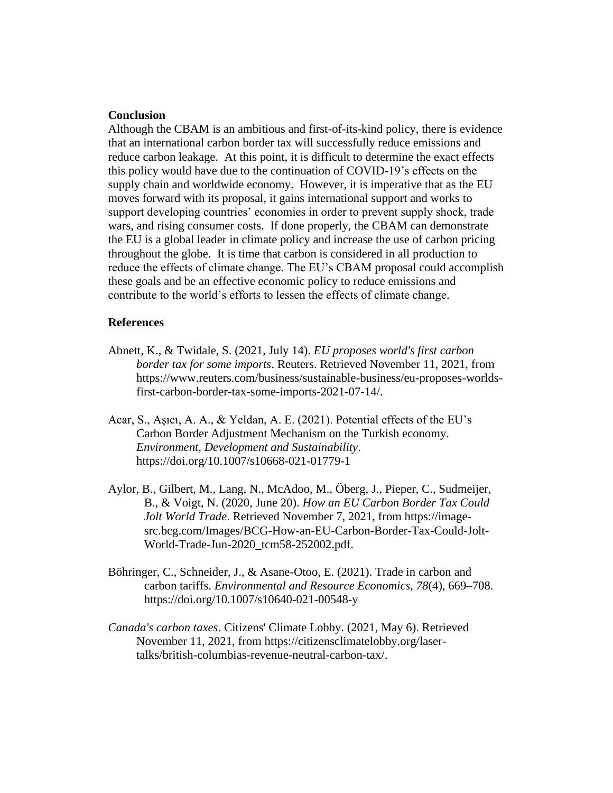### **Conclusion**

Although the CBAM is an ambitious and first-of-its-kind policy, there is evidence that an international carbon border tax will successfully reduce emissions and reduce carbon leakage. At this point, it is difficult to determine the exact effects this policy would have due to the continuation of COVID-19's effects on the supply chain and worldwide economy. However, it is imperative that as the EU moves forward with its proposal, it gains international support and works to support developing countries' economies in order to prevent supply shock, trade wars, and rising consumer costs. If done properly, the CBAM can demonstrate the EU is a global leader in climate policy and increase the use of carbon pricing throughout the globe. It is time that carbon is considered in all production to reduce the effects of climate change. The EU's CBAM proposal could accomplish these goals and be an effective economic policy to reduce emissions and contribute to the world's efforts to lessen the effects of climate change.

#### **References**

- Abnett, K., & Twidale, S. (2021, July 14). *EU proposes world's first carbon border tax for some imports*. Reuters. Retrieved November 11, 2021, from https://www.reuters.com/business/sustainable-business/eu-proposes-worldsfirst-carbon-border-tax-some-imports-2021-07-14/.
- Acar, S., Aşıcı, A. A., & Yeldan, A. E. (2021). Potential effects of the EU's Carbon Border Adjustment Mechanism on the Turkish economy. *Environment, Development and Sustainability*. https://doi.org/10.1007/s10668-021-01779-1
- Aylor, B., Gilbert, M., Lang, N., McAdoo, M., Öberg, J., Pieper, C., Sudmeijer, B., & Voigt, N. (2020, June 20). *How an EU Carbon Border Tax Could Jolt World Trade*. Retrieved November 7, 2021, from https://imagesrc.bcg.com/Images/BCG-How-an-EU-Carbon-Border-Tax-Could-Jolt-World-Trade-Jun-2020\_tcm58-252002.pdf.
- Böhringer, C., Schneider, J., & Asane-Otoo, E. (2021). Trade in carbon and carbon tariffs. *Environmental and Resource Economics*, *78*(4), 669–708. https://doi.org/10.1007/s10640-021-00548-y
- *Canada's carbon taxes*. Citizens' Climate Lobby. (2021, May 6). Retrieved November 11, 2021, from https://citizensclimatelobby.org/lasertalks/british-columbias-revenue-neutral-carbon-tax/.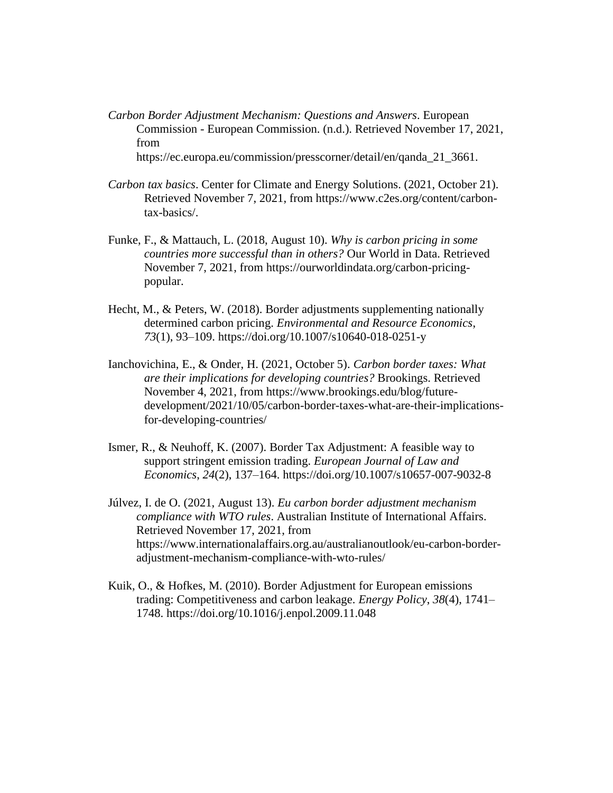- *Carbon Border Adjustment Mechanism: Questions and Answers*. European Commission - European Commission. (n.d.). Retrieved November 17, 2021, from https://ec.europa.eu/commission/presscorner/detail/en/qanda\_21\_3661.
- *Carbon tax basics*. Center for Climate and Energy Solutions. (2021, October 21). Retrieved November 7, 2021, from https://www.c2es.org/content/carbontax-basics/.
- Funke, F., & Mattauch, L. (2018, August 10). *Why is carbon pricing in some countries more successful than in others?* Our World in Data. Retrieved November 7, 2021, from https://ourworldindata.org/carbon-pricingpopular.
- Hecht, M., & Peters, W. (2018). Border adjustments supplementing nationally determined carbon pricing. *Environmental and Resource Economics*, *73*(1), 93–109. https://doi.org/10.1007/s10640-018-0251-y
- Ianchovichina, E., & Onder, H. (2021, October 5). *Carbon border taxes: What are their implications for developing countries?* Brookings. Retrieved November 4, 2021, from https://www.brookings.edu/blog/futuredevelopment/2021/10/05/carbon-border-taxes-what-are-their-implicationsfor-developing-countries/
- Ismer, R., & Neuhoff, K. (2007). Border Tax Adjustment: A feasible way to support stringent emission trading. *European Journal of Law and Economics*, *24*(2), 137–164. https://doi.org/10.1007/s10657-007-9032-8
- Júlvez, I. de O. (2021, August 13). *Eu carbon border adjustment mechanism compliance with WTO rules*. Australian Institute of International Affairs. Retrieved November 17, 2021, from https://www.internationalaffairs.org.au/australianoutlook/eu-carbon-borderadjustment-mechanism-compliance-with-wto-rules/
- Kuik, O., & Hofkes, M. (2010). Border Adjustment for European emissions trading: Competitiveness and carbon leakage. *Energy Policy*, *38*(4), 1741– 1748. https://doi.org/10.1016/j.enpol.2009.11.048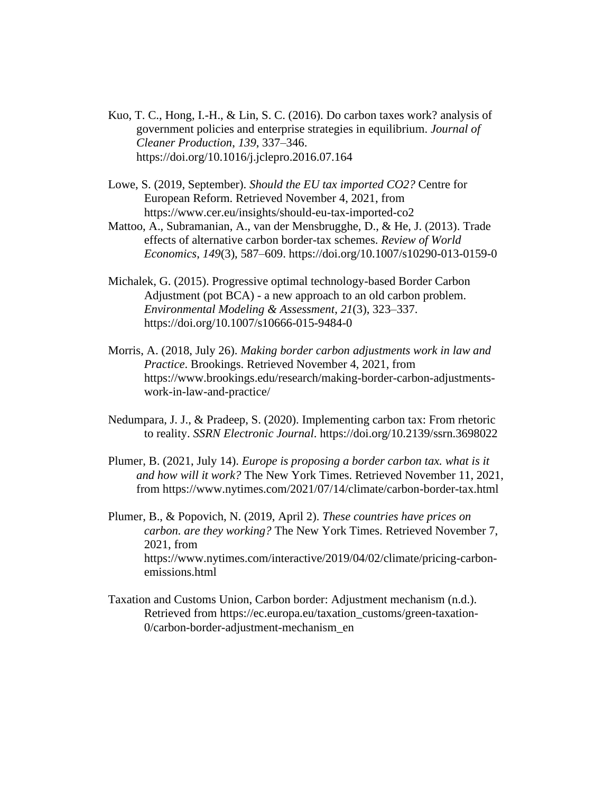- Kuo, T. C., Hong, I.-H., & Lin, S. C. (2016). Do carbon taxes work? analysis of government policies and enterprise strategies in equilibrium. *Journal of Cleaner Production*, *139*, 337–346. https://doi.org/10.1016/j.jclepro.2016.07.164
- Lowe, S. (2019, September). *Should the EU tax imported CO2?* Centre for European Reform. Retrieved November 4, 2021, from https://www.cer.eu/insights/should-eu-tax-imported-co2
- Mattoo, A., Subramanian, A., van der Mensbrugghe, D., & He, J. (2013). Trade effects of alternative carbon border-tax schemes. *Review of World Economics*, *149*(3), 587–609. https://doi.org/10.1007/s10290-013-0159-0
- Michalek, G. (2015). Progressive optimal technology-based Border Carbon Adjustment (pot BCA) - a new approach to an old carbon problem. *Environmental Modeling & Assessment*, *21*(3), 323–337. https://doi.org/10.1007/s10666-015-9484-0
- Morris, A. (2018, July 26). *Making border carbon adjustments work in law and Practice*. Brookings. Retrieved November 4, 2021, from https://www.brookings.edu/research/making-border-carbon-adjustmentswork-in-law-and-practice/
- Nedumpara, J. J., & Pradeep, S. (2020). Implementing carbon tax: From rhetoric to reality. *SSRN Electronic Journal*. https://doi.org/10.2139/ssrn.3698022
- Plumer, B. (2021, July 14). *Europe is proposing a border carbon tax. what is it and how will it work?* The New York Times. Retrieved November 11, 2021, from https://www.nytimes.com/2021/07/14/climate/carbon-border-tax.html
- Plumer, B., & Popovich, N. (2019, April 2). *These countries have prices on carbon. are they working?* The New York Times. Retrieved November 7, 2021, from https://www.nytimes.com/interactive/2019/04/02/climate/pricing-carbonemissions.html
- Taxation and Customs Union, Carbon border: Adjustment mechanism (n.d.). Retrieved from https://ec.europa.eu/taxation\_customs/green-taxation-0/carbon-border-adjustment-mechanism\_en